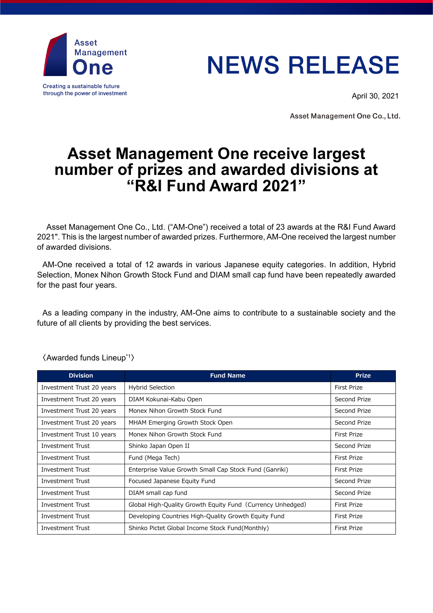

## **NEWS RELEASE**

April 30, 2021

Asset Management One Co., Ltd.

## **Asset Management One receive largest number of prizes and awarded divisions at "R&I Fund Award 2021"**

Asset Management One Co., Ltd. ("AM-One") received a total of 23 awards at the R&I Fund Award 2021". This is the largest number of awarded prizes. Furthermore, AM-One received the largest number of awarded divisions.

AM-One received a total of 12 awards in various Japanese equity categories. In addition, Hybrid Selection, Monex Nihon Growth Stock Fund and DIAM small cap fund have been repeatedly awarded for the past four years.

As a leading company in the industry, AM-One aims to contribute to a sustainable society and the future of all clients by providing the best services.

| <b>Division</b>           | <b>Fund Name</b>                                           | <b>Prize</b>       |
|---------------------------|------------------------------------------------------------|--------------------|
| Investment Trust 20 years | <b>Hybrid Selection</b>                                    | <b>First Prize</b> |
| Investment Trust 20 years | DIAM Kokunai-Kabu Open                                     | Second Prize       |
| Investment Trust 20 years | Monex Nihon Growth Stock Fund                              | Second Prize       |
| Investment Trust 20 years | MHAM Emerging Growth Stock Open                            | Second Prize       |
| Investment Trust 10 years | Monex Nihon Growth Stock Fund                              | First Prize        |
| Investment Trust          | Shinko Japan Open II                                       | Second Prize       |
| <b>Investment Trust</b>   | Fund (Mega Tech)                                           | <b>First Prize</b> |
| <b>Investment Trust</b>   | Enterprise Value Growth Small Cap Stock Fund (Ganriki)     | <b>First Prize</b> |
| Investment Trust          | Focused Japanese Equity Fund                               | Second Prize       |
| Investment Trust          | DIAM small cap fund                                        | Second Prize       |
| Investment Trust          | Global High-Quality Growth Equity Fund (Currency Unhedged) | First Prize        |
| <b>Investment Trust</b>   | Developing Countries High-Quality Growth Equity Fund       | <b>First Prize</b> |
| <b>Investment Trust</b>   | Shinko Pictet Global Income Stock Fund (Monthly)           | <b>First Prize</b> |

〈Awarded funds Lineup\*1〉